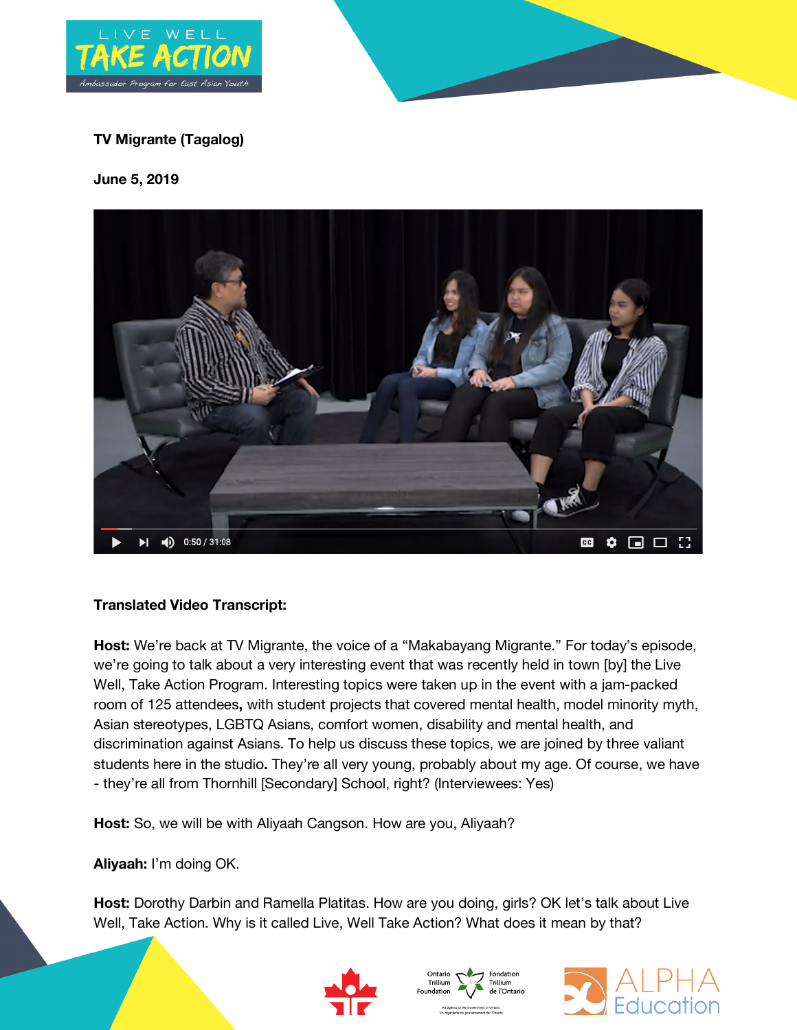

# **TV Migrante (Tagalog)**

**June 5, 2019**



## **Translated Video Transcript:**

**Host:** We're back at TV Migrante, the voice of a "Makabayang Migrante." For today's episode, we're going to talk about a very interesting event that was recently held in town [by] the Live Well, Take Action Program. Interesting topics were taken up in the event with a jam-packed room of 125 attendees**,** with student projects that covered mental health, model minority myth, Asian stereotypes, LGBTQ Asians, comfort women, disability and mental health, and discrimination against Asians. To help us discuss these topics, we are joined by three valiant students here in the studio**.** They're all very young, probably about my age. Of course, we have - they're all from Thornhill [Secondary] School, right? (Interviewees: Yes)

**Host:** So, we will be with Aliyaah Cangson. How are you, Aliyaah?

**Aliyaah:** I'm doing OK.

Host: Dorothy Darbin and Ramella Platitas. How are you doing, girls? OK let's talk about Live Well, Take Action. Why is it called Live, Well Take Action? What does it mean by that?





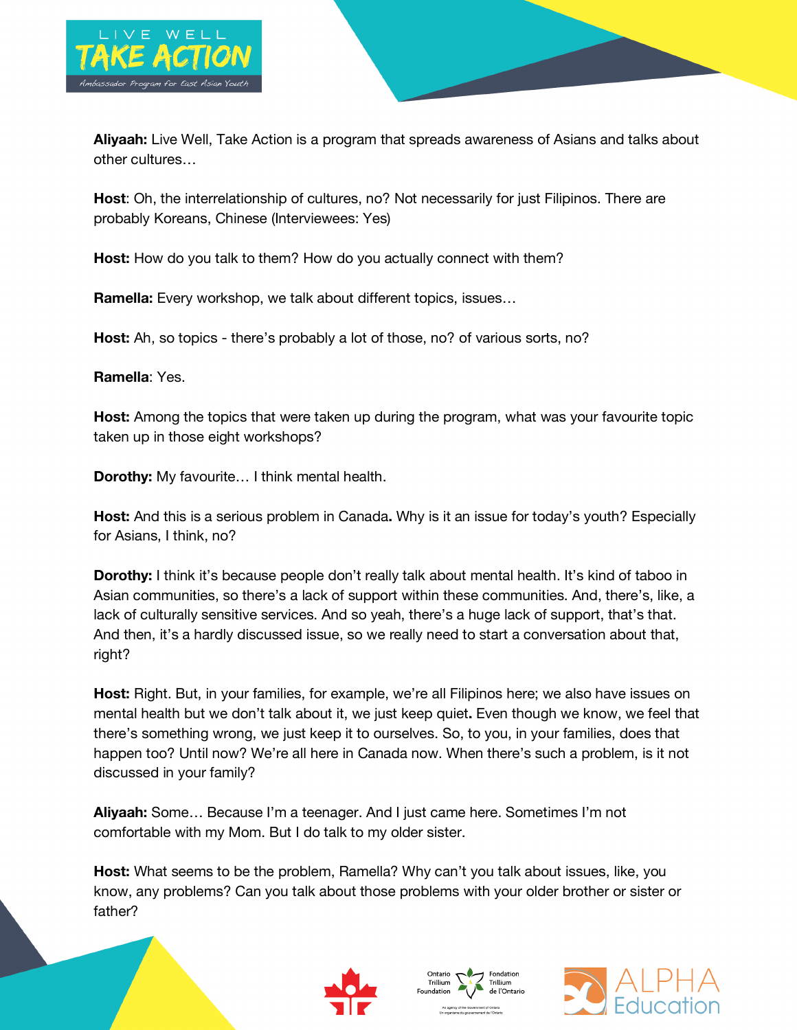

**Aliyaah:** Live Well, Take Action is a program that spreads awareness of Asians and talks about other cultures…

**Host**: Oh, the interrelationship of cultures, no? Not necessarily for just Filipinos. There are probably Koreans, Chinese (Interviewees: Yes)

**Host:** How do you talk to them? How do you actually connect with them?

**Ramella:** Every workshop, we talk about different topics, issues…

**Host:** Ah, so topics - there's probably a lot of those, no? of various sorts, no?

**Ramella**: Yes.

**Host:** Among the topics that were taken up during the program, what was your favourite topic taken up in those eight workshops?

**Dorothy:** My favourite… I think mental health.

**Host:** And this is a serious problem in Canada**.** Why is it an issue for today's youth? Especially for Asians, I think, no?

**Dorothy:** I think it's because people don't really talk about mental health. It's kind of taboo in Asian communities, so there's a lack of support within these communities. And, there's, like, a lack of culturally sensitive services. And so yeah, there's a huge lack of support, that's that. And then, it's a hardly discussed issue, so we really need to start a conversation about that, right?

**Host:** Right. But, in your families, for example, we're all Filipinos here; we also have issues on mental health but we don't talk about it, we just keep quiet**.** Even though we know, we feel that there's something wrong, we just keep it to ourselves. So, to you, in your families, does that happen too? Until now? We're all here in Canada now. When there's such a problem, is it not discussed in your family?

**Aliyaah:** Some… Because I'm a teenager. And I just came here. Sometimes I'm not comfortable with my Mom. But I do talk to my older sister.

**Host:** What seems to be the problem, Ramella? Why can't you talk about issues, like, you know, any problems? Can you talk about those problems with your older brother or sister or father?







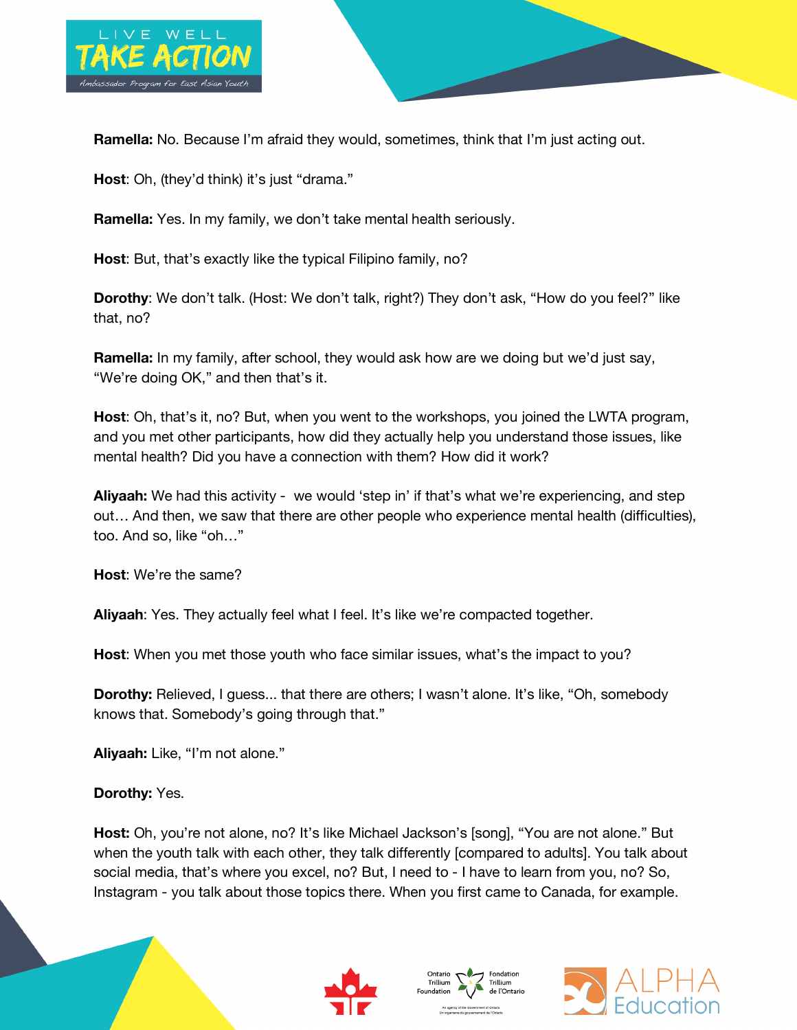

**Ramella:** No. Because I'm afraid they would, sometimes, think that I'm just acting out.

**Host:** Oh, (they'd think) it's just "drama."

**Ramella:** Yes. In my family, we don't take mental health seriously.

**Host**: But, that's exactly like the typical Filipino family, no?

**Dorothy**: We don't talk. (Host: We don't talk, right?) They don't ask, "How do you feel?" like that, no?

**Ramella:** In my family, after school, they would ask how are we doing but we'd just say, "We're doing OK," and then that's it.

**Host**: Oh, that's it, no? But, when you went to the workshops, you joined the LWTA program, and you met other participants, how did they actually help you understand those issues, like mental health? Did you have a connection with them? How did it work?

**Aliyaah:** We had this activity - we would 'step in' if that's what we're experiencing, and step out… And then, we saw that there are other people who experience mental health (difficulties), too. And so, like "oh…"

**Host**: We're the same?

**Aliyaah**: Yes. They actually feel what I feel. It's like we're compacted together.

**Host**: When you met those youth who face similar issues, what's the impact to you?

**Dorothy:** Relieved, I guess... that there are others; I wasn't alone. It's like, "Oh, somebody knows that. Somebody's going through that."

**Aliyaah:** Like, "I'm not alone."

**Dorothy:** Yes.

**Host:** Oh, you're not alone, no? It's like Michael Jackson's [song], "You are not alone." But when the youth talk with each other, they talk differently [compared to adults]. You talk about social media, that's where you excel, no? But, I need to - I have to learn from you, no? So, Instagram - you talk about those topics there. When you first came to Canada, for example.







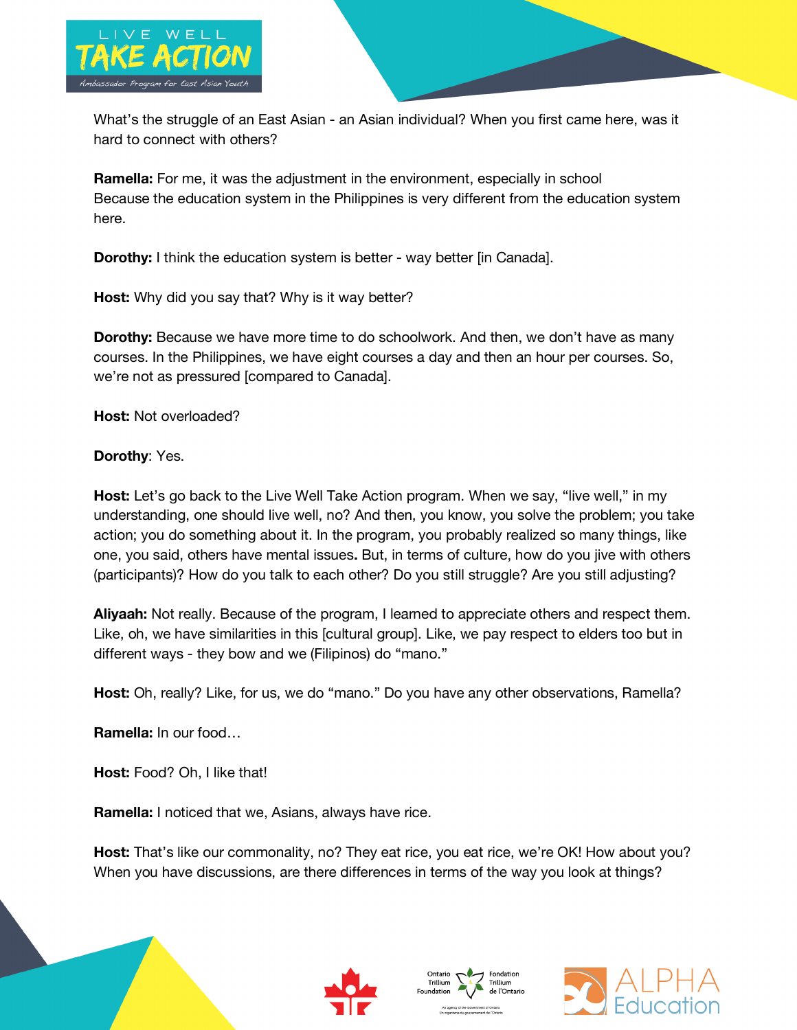

What's the struggle of an East Asian - an Asian individual? When you first came here, was it hard to connect with others?

**Ramella:** For me, it was the adjustment in the environment, especially in school Because the education system in the Philippines is very different from the education system here.

**Dorothy:** I think the education system is better - way better [in Canada].

**Host:** Why did you say that? Why is it way better?

**Dorothy:** Because we have more time to do schoolwork. And then, we don't have as many courses. In the Philippines, we have eight courses a day and then an hour per courses. So, we're not as pressured [compared to Canada].

**Host:** Not overloaded?

**Dorothy**: Yes.

**Host:** Let's go back to the Live Well Take Action program. When we say, "live well," in my understanding, one should live well, no? And then, you know, you solve the problem; you take action; you do something about it. In the program, you probably realized so many things, like one, you said, others have mental issues**.** But, in terms of culture, how do you jive with others (participants)? How do you talk to each other? Do you still struggle? Are you still adjusting?

**Aliyaah:** Not really. Because of the program, I learned to appreciate others and respect them. Like, oh, we have similarities in this [cultural group]. Like, we pay respect to elders too but in different ways - they bow and we (Filipinos) do "mano."

**Host:** Oh, really? Like, for us, we do "mano." Do you have any other observations, Ramella?

**Ramella:** In our food…

Host: Food? Oh, I like that!

**Ramella:** I noticed that we, Asians, always have rice.

**Host:** That's like our commonality, no? They eat rice, you eat rice, we're OK! How about you? When you have discussions, are there differences in terms of the way you look at things?







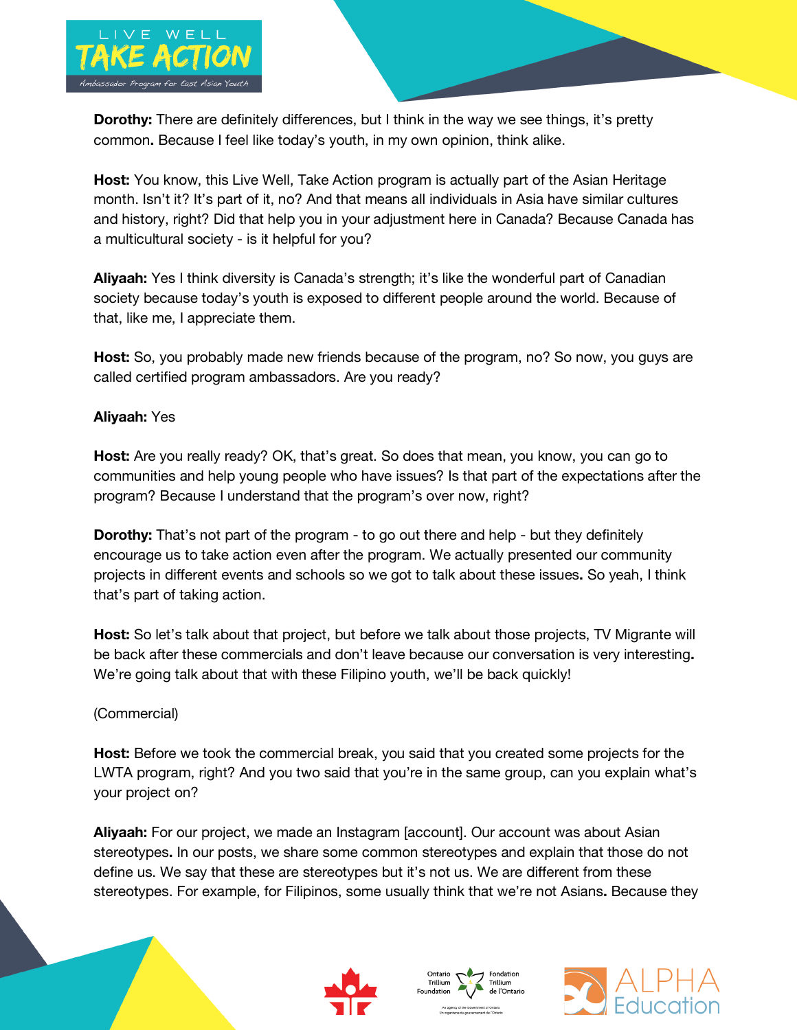

**Dorothy:** There are definitely differences, but I think in the way we see things, it's pretty common**.** Because I feel like today's youth, in my own opinion, think alike.

**Host:** You know, this Live Well, Take Action program is actually part of the Asian Heritage month. Isn't it? It's part of it, no? And that means all individuals in Asia have similar cultures and history, right? Did that help you in your adjustment here in Canada? Because Canada has a multicultural society - is it helpful for you?

**Aliyaah:** Yes I think diversity is Canada's strength; it's like the wonderful part of Canadian society because today's youth is exposed to different people around the world. Because of that, like me, I appreciate them.

**Host:** So, you probably made new friends because of the program, no? So now, you guys are called certified program ambassadors. Are you ready?

## **Aliyaah:** Yes

**Host:** Are you really ready? OK, that's great. So does that mean, you know, you can go to communities and help young people who have issues? Is that part of the expectations after the program? Because I understand that the program's over now, right?

**Dorothy:** That's not part of the program - to go out there and help - but they definitely encourage us to take action even after the program. We actually presented our community projects in different events and schools so we got to talk about these issues**.** So yeah, I think that's part of taking action.

**Host:** So let's talk about that project, but before we talk about those projects, TV Migrante will be back after these commercials and don't leave because our conversation is very interesting**.**  We're going talk about that with these Filipino youth, we'll be back quickly!

## (Commercial)

**Host:** Before we took the commercial break, you said that you created some projects for the LWTA program, right? And you two said that you're in the same group, can you explain what's your project on?

**Aliyaah:** For our project, we made an Instagram [account]. Our account was about Asian stereotypes**.** In our posts, we share some common stereotypes and explain that those do not define us. We say that these are stereotypes but it's not us. We are different from these stereotypes. For example, for Filipinos, some usually think that we're not Asians**.** Because they







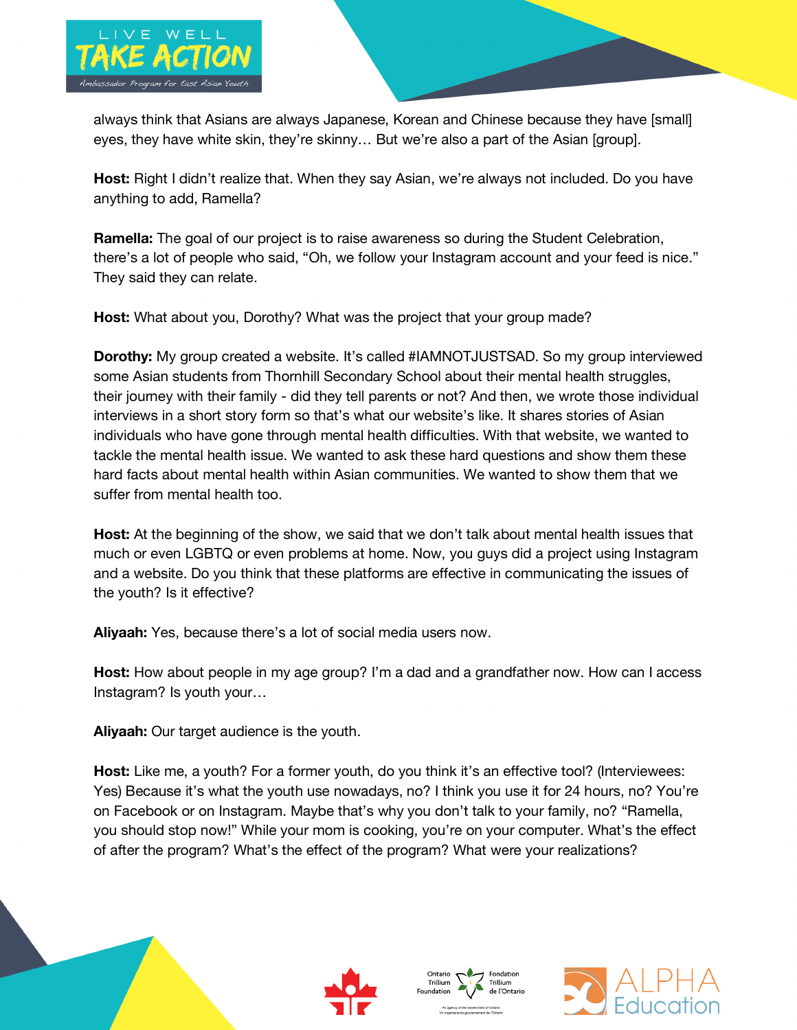

always think that Asians are always Japanese, Korean and Chinese because they have [small] eyes, they have white skin, they're skinny… But we're also a part of the Asian [group].

**Host:** Right I didn't realize that. When they say Asian, we're always not included. Do you have anything to add, Ramella?

**Ramella:** The goal of our project is to raise awareness so during the Student Celebration, there's a lot of people who said, "Oh, we follow your Instagram account and your feed is nice." They said they can relate.

**Host:** What about you, Dorothy? What was the project that your group made?

**Dorothy:** My group created a website. It's called #IAMNOTJUSTSAD. So my group interviewed some Asian students from Thornhill Secondary School about their mental health struggles, their journey with their family - did they tell parents or not? And then, we wrote those individual interviews in a short story form so that's what our website's like. It shares stories of Asian individuals who have gone through mental health difficulties. With that website, we wanted to tackle the mental health issue. We wanted to ask these hard questions and show them these hard facts about mental health within Asian communities. We wanted to show them that we suffer from mental health too.

**Host:** At the beginning of the show, we said that we don't talk about mental health issues that much or even LGBTQ or even problems at home. Now, you guys did a project using Instagram and a website. Do you think that these platforms are effective in communicating the issues of the youth? Is it effective?

**Aliyaah:** Yes, because there's a lot of social media users now.

**Host:** How about people in my age group? I'm a dad and a grandfather now. How can I access Instagram? Is youth your…

**Aliyaah:** Our target audience is the youth.

**Host:** Like me, a youth? For a former youth, do you think it's an effective tool? (Interviewees: Yes) Because it's what the youth use nowadays, no? I think you use it for 24 hours, no? You're on Facebook or on Instagram. Maybe that's why you don't talk to your family, no? "Ramella, you should stop now!" While your mom is cooking, you're on your computer. What's the effect of after the program? What's the effect of the program? What were your realizations?







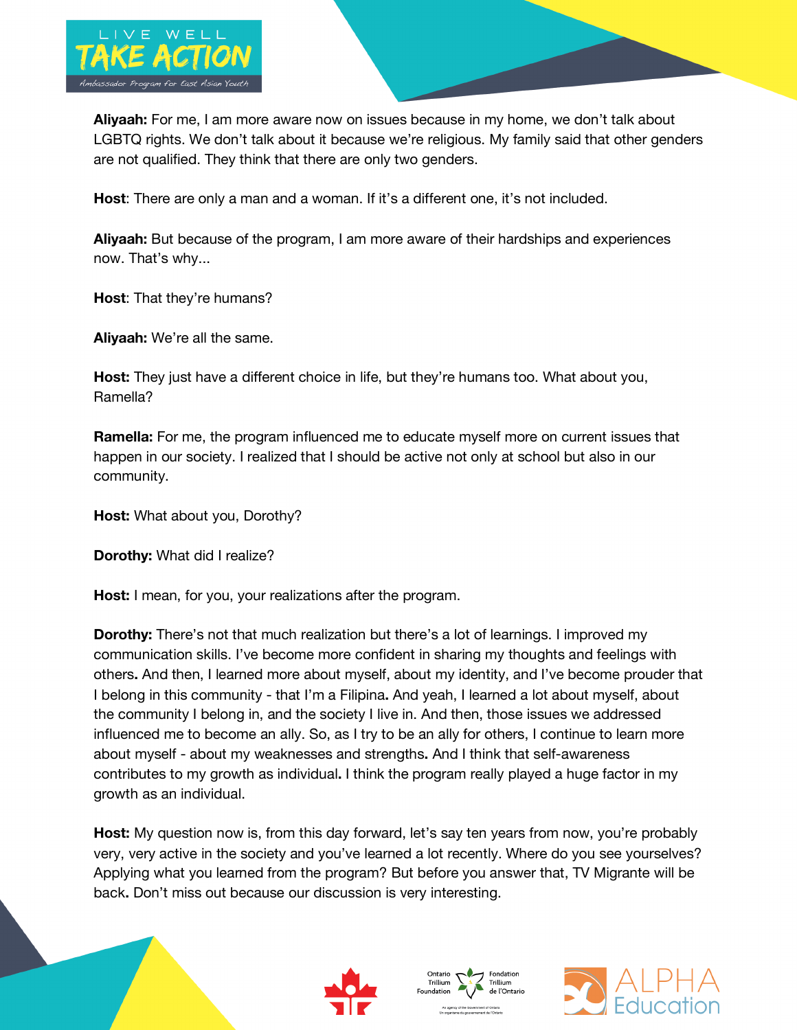

**Aliyaah:** For me, I am more aware now on issues because in my home, we don't talk about LGBTQ rights. We don't talk about it because we're religious. My family said that other genders are not qualified. They think that there are only two genders.

**Host**: There are only a man and a woman. If it's a different one, it's not included.

**Aliyaah:** But because of the program, I am more aware of their hardships and experiences now. That's why...

**Host**: That they're humans?

**Aliyaah:** We're all the same.

**Host:** They just have a different choice in life, but they're humans too. What about you, Ramella?

**Ramella:** For me, the program influenced me to educate myself more on current issues that happen in our society. I realized that I should be active not only at school but also in our community.

**Host:** What about you, Dorothy?

**Dorothy:** What did I realize?

**Host:** I mean, for you, your realizations after the program.

**Dorothy:** There's not that much realization but there's a lot of learnings. I improved my communication skills. I've become more confident in sharing my thoughts and feelings with others**.** And then, I learned more about myself, about my identity, and I've become prouder that I belong in this community - that I'm a Filipina**.** And yeah, I learned a lot about myself, about the community I belong in, and the society I live in. And then, those issues we addressed influenced me to become an ally. So, as I try to be an ally for others, I continue to learn more about myself - about my weaknesses and strengths**.** And I think that self-awareness contributes to my growth as individual**.** I think the program really played a huge factor in my growth as an individual.

**Host:** My question now is, from this day forward, let's say ten years from now, you're probably very, very active in the society and you've learned a lot recently. Where do you see yourselves? Applying what you learned from the program? But before you answer that, TV Migrante will be back**.** Don't miss out because our discussion is very interesting.







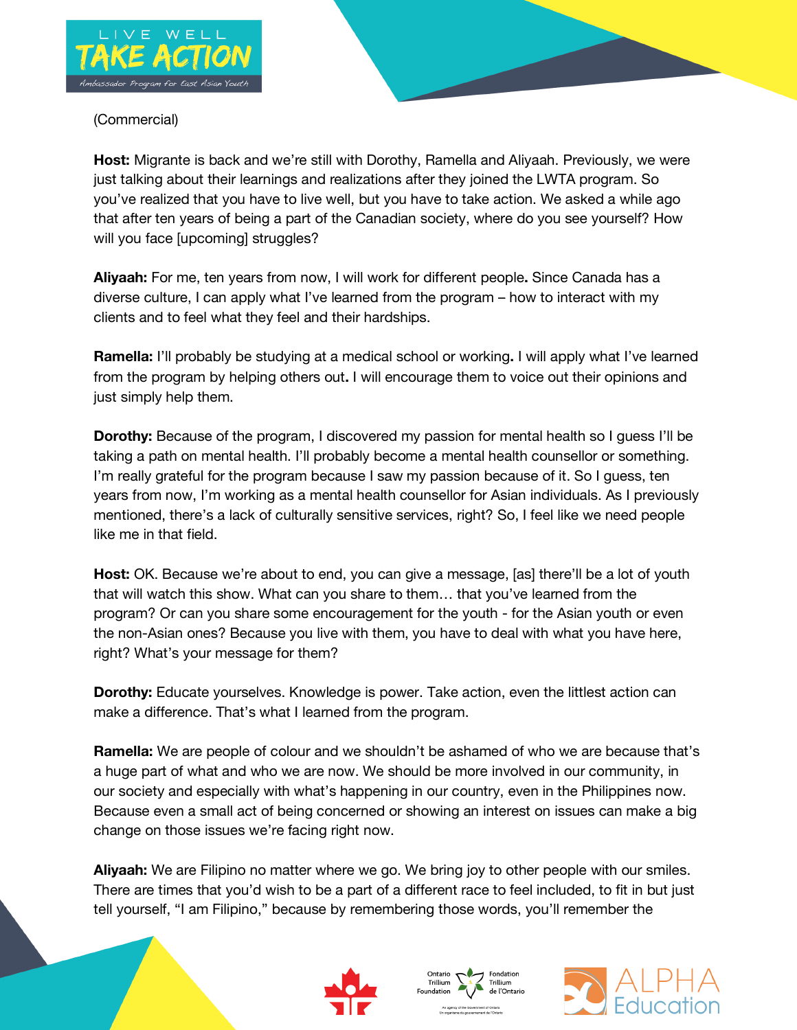

# (Commercial)

**Host:** Migrante is back and we're still with Dorothy, Ramella and Aliyaah. Previously, we were just talking about their learnings and realizations after they joined the LWTA program. So you've realized that you have to live well, but you have to take action. We asked a while ago that after ten years of being a part of the Canadian society, where do you see yourself? How will you face [upcoming] struggles?

**Aliyaah:** For me, ten years from now, I will work for different people**.** Since Canada has a diverse culture, I can apply what I've learned from the program – how to interact with my clients and to feel what they feel and their hardships.

**Ramella:** I'll probably be studying at a medical school or working**.** I will apply what I've learned from the program by helping others out**.** I will encourage them to voice out their opinions and just simply help them.

**Dorothy:** Because of the program, I discovered my passion for mental health so I guess I'll be taking a path on mental health. I'll probably become a mental health counsellor or something. I'm really grateful for the program because I saw my passion because of it. So I guess, ten years from now, I'm working as a mental health counsellor for Asian individuals. As I previously mentioned, there's a lack of culturally sensitive services, right? So, I feel like we need people like me in that field.

**Host:** OK. Because we're about to end, you can give a message, [as] there'll be a lot of youth that will watch this show. What can you share to them… that you've learned from the program? Or can you share some encouragement for the youth - for the Asian youth or even the non-Asian ones? Because you live with them, you have to deal with what you have here, right? What's your message for them?

**Dorothy:** Educate yourselves. Knowledge is power. Take action, even the littlest action can make a difference. That's what I learned from the program.

**Ramella:** We are people of colour and we shouldn't be ashamed of who we are because that's a huge part of what and who we are now. We should be more involved in our community, in our society and especially with what's happening in our country, even in the Philippines now. Because even a small act of being concerned or showing an interest on issues can make a big change on those issues we're facing right now.

**Aliyaah:** We are Filipino no matter where we go. We bring joy to other people with our smiles. There are times that you'd wish to be a part of a different race to feel included, to fit in but just tell yourself, "I am Filipino," because by remembering those words, you'll remember the